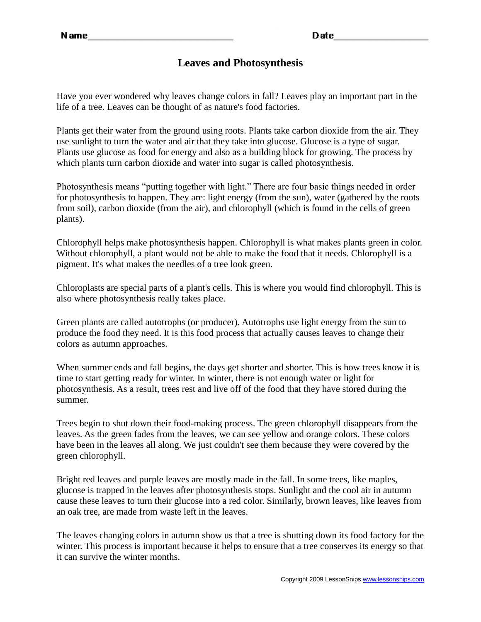# **Leaves and Photosynthesis**

Have you ever wondered why leaves change colors in fall? Leaves play an important part in the life of a tree. Leaves can be thought of as nature's food factories.

Plants get their water from the ground using roots. Plants take carbon dioxide from the air. They use sunlight to turn the water and air that they take into glucose. Glucose is a type of sugar. Plants use glucose as food for energy and also as a building block for growing. The process by which plants turn carbon dioxide and water into sugar is called photosynthesis.

Photosynthesis means "putting together with light." There are four basic things needed in order for photosynthesis to happen. They are: light energy (from the sun), water (gathered by the roots from soil), carbon dioxide (from the air), and chlorophyll (which is found in the cells of green plants).

Chlorophyll helps make photosynthesis happen. Chlorophyll is what makes plants green in color. Without chlorophyll, a plant would not be able to make the food that it needs. Chlorophyll is a pigment. It's what makes the needles of a tree look green.

Chloroplasts are special parts of a plant's cells. This is where you would find chlorophyll. This is also where photosynthesis really takes place.

Green plants are called autotrophs (or producer). Autotrophs use light energy from the sun to produce the food they need. It is this food process that actually causes leaves to change their colors as autumn approaches.

When summer ends and fall begins, the days get shorter and shorter. This is how trees know it is time to start getting ready for winter. In winter, there is not enough water or light for photosynthesis. As a result, trees rest and live off of the food that they have stored during the summer.

Trees begin to shut down their food-making process. The green chlorophyll disappears from the leaves. As the green fades from the leaves, we can see yellow and orange colors. These colors have been in the leaves all along. We just couldn't see them because they were covered by the green chlorophyll.

Bright red leaves and purple leaves are mostly made in the fall. In some trees, like maples, glucose is trapped in the leaves after photosynthesis stops. Sunlight and the cool air in autumn cause these leaves to turn their glucose into a red color. Similarly, brown leaves, like leaves from an oak tree, are made from waste left in the leaves.

The leaves changing colors in autumn show us that a tree is shutting down its food factory for the winter. This process is important because it helps to ensure that a tree conserves its energy so that it can survive the winter months.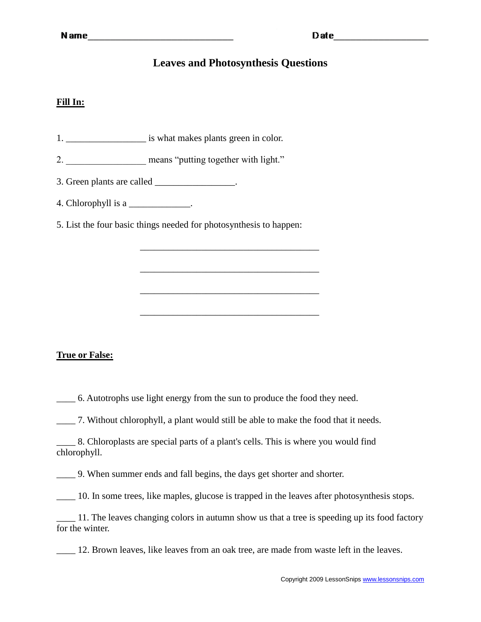# **Leaves and Photosynthesis Questions**

### **Fill In:**

- 1. \_\_\_\_\_\_\_\_\_\_\_\_\_\_\_\_\_\_\_\_\_\_\_ is what makes plants green in color.
- 2. \_\_\_\_\_\_\_\_\_\_\_\_\_\_\_\_\_\_\_ means "putting together with light."
- 3. Green plants are called \_\_\_\_\_\_\_\_\_\_\_\_\_\_\_\_\_.
- 4. Chlorophyll is a  $\_\_\_\_\_\_\_\_\_\_\_\_\_\_\_\_\_\_\_\_$ .
- 5. List the four basic things needed for photosynthesis to happen:

### **True or False:**

\_\_\_\_ 6. Autotrophs use light energy from the sun to produce the food they need.

\_\_\_\_ 7. Without chlorophyll, a plant would still be able to make the food that it needs.

\_\_\_\_\_\_\_\_\_\_\_\_\_\_\_\_\_\_\_\_\_\_\_\_\_\_\_\_\_\_\_\_\_\_\_\_\_\_

\_\_\_\_\_\_\_\_\_\_\_\_\_\_\_\_\_\_\_\_\_\_\_\_\_\_\_\_\_\_\_\_\_\_\_\_\_\_

\_\_\_\_\_\_\_\_\_\_\_\_\_\_\_\_\_\_\_\_\_\_\_\_\_\_\_\_\_\_\_\_\_\_\_\_\_\_

\_\_\_\_\_\_\_\_\_\_\_\_\_\_\_\_\_\_\_\_\_\_\_\_\_\_\_\_\_\_\_\_\_\_\_\_\_\_

| 8. Chloroplasts are special parts of a plant's cells. This is where you would find |  |  |  |
|------------------------------------------------------------------------------------|--|--|--|
| chlorophyll.                                                                       |  |  |  |

\_\_\_\_ 9. When summer ends and fall begins, the days get shorter and shorter.

\_\_\_\_ 10. In some trees, like maples, glucose is trapped in the leaves after photosynthesis stops.

\_\_\_\_ 11. The leaves changing colors in autumn show us that a tree is speeding up its food factory for the winter.

\_\_\_\_ 12. Brown leaves, like leaves from an oak tree, are made from waste left in the leaves.